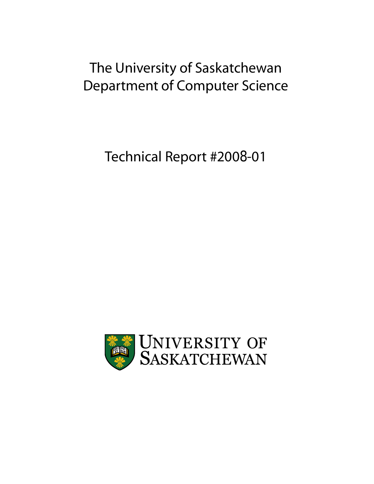# The University of Saskatchewan Department of Computer Science

Technical Report #2008-01

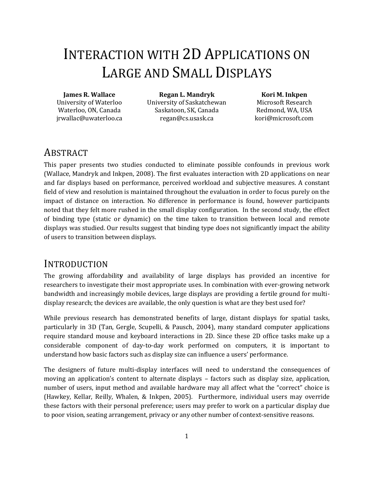# INTERACTION WITH 2D APPLICATIONS ON LARGE AND SMALL DISPLAYS

#### **James R. Wallace**

University of Waterloo Waterloo, ON, Canada jrwallac@uwaterloo.ca

**Regan L. Mandryk** University of Saskatchewan Saskatoon, SK, Canada regan@cs.usask.ca

#### **Kori M. Inkpen**

Microsoft Research Redmond, WA, USA kori@microsoft.com

## ABSTRACT

This paper presents two studies conducted to eliminate possible confounds in previous work (Wallace, Mandryk and Inkpen, 2008). The first evaluates interaction with 2D applications on near and far displays based on performance, perceived workload and subjective measures. A constant field of view and resolution is maintained throughout the evaluation in order to focus purely on the impact of distance on interaction. No difference in performance is found, however participants noted that they felt more rushed in the small display configuration. In the second study, the effect of binding type (static or dynamic) on the time taken to transition between local and remote displays was studied. Our results suggest that binding type does not significantly impact the ability of users to transition between displays.

## INTRODUCTION

The growing affordabilit**y** and availability of large displays has provided an incentive for researchers to investigate their most appropriate uses. In combination with ever-growing network bandwidth and increasingly mobile devices, large displays are providing a fertile ground for multidisplay research; the devices are available, the only question is what are they best used for?

While previous research has demonstrated benefits of large, distant displays for spatial tasks, particularly in 3D (Tan, Gergle, Scupelli, & Pausch, 2004), many standard computer applications require standard mouse and keyboard interactions in 2D. Since these 2D office tasks make up a considerable component of day-to-day work performed on computers, it is important to understand how basic factors such as display size can influence a users' performance.

The designers of future multi-display interfaces will need to understand the consequences of moving an application's content to alternate displays – factors such as display size, application, number of users, input method and available hardware may all affect what the "correct" choice is (Hawkey, Kellar, Reilly, Whalen, & Inkpen, 2005). Furthermore, individual users may override these factors with their personal preference; users may prefer to work on a particular display due to poor vision, seating arrangement, privacy or any other number of context-sensitive reasons.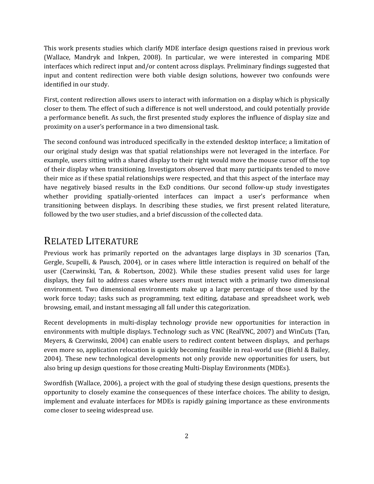This work presents studies which clarify MDE interface design questions raised in previous work (Wallace, Mandryk and Inkpen, 2008). In particular, we were interested in comparing MDE interfaces which redirect input and/or content across displays. Preliminary findings suggested that input and content redirection were both viable design solutions, however two confounds were identified in our study.

First, content redirection allows users to interact with information on a display which is physically closer to them. The effect of such a difference is not well understood, and could potentially provide a performance benefit. As such, the first presented study explores the influence of display size and proximity on a user's performance in a two dimensional task.

The second confound was introduced specifically in the extended desktop interface; a limitation of our original study design was that spatial relationships were not leveraged in the interface. For example, users sitting with a shared display to their right would move the mouse cursor off the top of their display when transitioning. Investigators observed that many participants tended to move their mice as if these spatial relationships were respected, and that this aspect of the interface may have negatively biased results in the ExD conditions. Our second follow-up study investigates whether providing spatially-oriented interfaces can impact a user's performance when transitioning between displays. In describing these studies, we first present related literature, followed by the two user studies, and a brief discussion of the collected data.

## RELATED LITERATURE

Previous work has primarily reported on the advantages large displays in 3D scenarios (Tan, Gergle, Scupelli, & Pausch, 2004), or in cases where little interaction is required on behalf of the user (Czerwinski, Tan, & Robertson, 2002). While these studies present valid uses for large displays, they fail to address cases where users must interact with a primarily two dimensional environment. Two dimensional environments make up a large percentage of those used by the work force today; tasks such as programming, text editing, database and spreadsheet work, web browsing, email, and instant messaging all fall under this categorization.

Recent developments in multi-display technology provide new opportunities for interaction in environments with multiple displays. Technology such as VNC (RealVNC, 2007) and WinCuts (Tan, Meyers, & Czerwinski, 2004) can enable users to redirect content between displays, and perhaps even more so, application relocation is quickly becoming feasible in real-world use (Biehl & Bailey, 2004). These new technological developments not only provide new opportunities for users, but also bring up design questions for those creating Multi-Display Environments (MDEs).

Swordfish (Wallace, 2006), a project with the goal of studying these design questions, presents the opportunity to closely examine the consequences of these interface choices. The ability to design, implement and evaluate interfaces for MDEs is rapidly gaining importance as these environments come closer to seeing widespread use.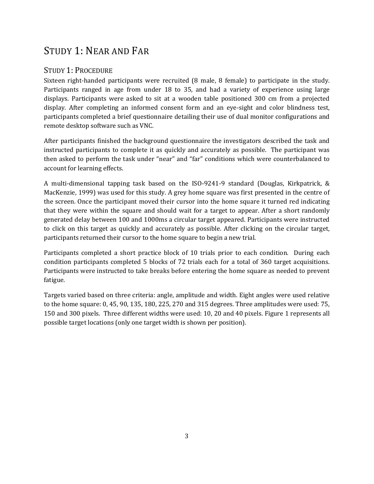# STUDY 1: NEAR AND FAR

### STUDY 1: PROCEDURE

Sixteen right-handed participants were recruited (8 male, 8 female) to participate in the study. Participants ranged in age from under 18 to 35, and had a variety of experience using large displays. Participants were asked to sit at a wooden table positioned 300 cm from a projected display. After completing an informed consent form and an eye-sight and color blindness test, participants completed a brief questionnaire detailing their use of dual monitor configurations and remote desktop software such as VNC.

After participants finished the background questionnaire the investigators described the task and instructed participants to complete it as quickly and accurately as possible. The participant was then asked to perform the task under "near" and "far" conditions which were counterbalanced to account for learning effects.

<span id="page-3-0"></span>A multi-dimensional tapping task based on the ISO-9241-9 standard (Douglas, Kirkpatrick, & MacKenzie, 1999) was used for this study. A grey home square was first presented in the centre of the screen. Once the participant moved their cursor into the home square it turned red indicating that they were within the square and should wait for a target to appear. After a short randomly generated delay between 100 and 1000ms a circular target appeared. Participants were instructed to click on this target as quickly and accurately as possible. After clicking on the circular target, participants returned their cursor to the home square to begin a new trial.

Participants completed a short practice block of 10 trials prior to each condition. During each condition participants completed 5 blocks of 72 trials each for a total of 360 target acquisitions. Participants were instructed to take breaks before entering the home square as needed to prevent fatigue.

Targets varied based on three criteria: angle, amplitude and width. Eight angles were used relative to the home square: 0, 45, 90, 135, 180, 225, 270 and 315 degrees. Three amplitudes were used: 75, 150 and 300 pixels. Three different widths were used: 10, 20 and 40 pixels. [Figure 1](#page-3-0) represents all possible target locations (only one target width is shown per position).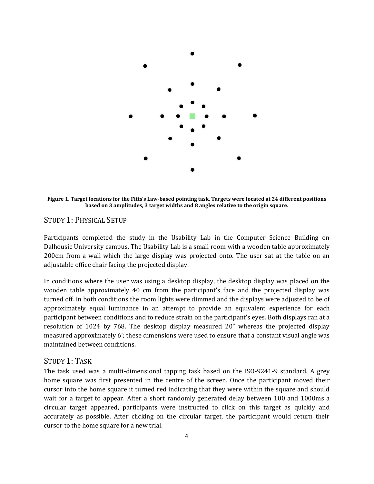

**Figure 1. Target locations for the Fitts's Law-based pointing task. Targets were located at 24 different positions based on 3 amplitudes, 3 target widths and 8 angles relative to the origin square.**

#### STUDY 1: PHYSICAL SETUP

Participants completed the study in the Usability Lab in the Computer Science Building on Dalhousie University campus. The Usability Lab is a small room with a wooden table approximately 200cm from a wall which the large display was projected onto. The user sat at the table on an adjustable office chair facing the projected display.

In conditions where the user was using a desktop display, the desktop display was placed on the wooden table approximately 40 cm from the participant's face and the projected display was turned off. In both conditions the room lights were dimmed and the displays were adjusted to be of approximately equal luminance in an attempt to provide an equivalent experience for each participant between conditions and to reduce strain on the participant's eyes. Both displays ran at a resolution of 1024 by 768. The desktop display measured 20" whereas the projected display measured approximately 6'; these dimensions were used to ensure that a constant visual angle was maintained between conditions.

#### STUDY 1: TASK

The task used was a multi-dimensional tapping task based on the ISO-9241-9 standard. A grey home square was first presented in the centre of the screen. Once the participant moved their cursor into the home square it turned red indicating that they were within the square and should wait for a target to appear. After a short randomly generated delay between 100 and 1000ms a circular target appeared, participants were instructed to click on this target as quickly and accurately as possible. After clicking on the circular target, the participant would return their cursor to the home square for a new trial.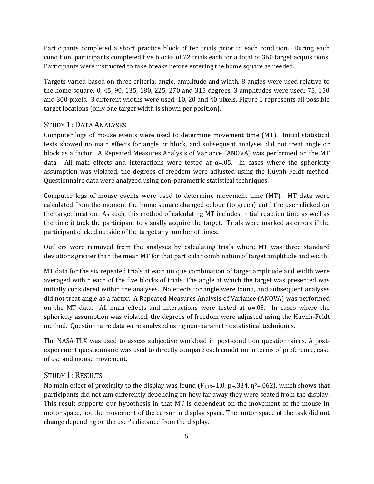Participants completed a short practice block of ten trials prior to each condition. During each condition, participants completed five blocks of 72 trials each for a total of 360 target acquisitions. Participants were instructed to take breaks before entering the home square as needed.

Targets varied based on three criteria: angle, amplitude and width. 8 angles were used relative to the home square: 0, 45, 90, 135, 180, 225, 270 and 315 degrees. 3 amplitudes were used: 75, 150 and 300 pixels. 3 different widths were used: 10, 20 and 40 pixels. Figure 1 represents all possible target locations (only one target width is shown per position).

#### STUDY 1: DATA ANALYSES

Computer logs of mouse events were used to determine movement time (MT). Initial statistical tests showed no main effects for angle or block, and subsequent analyses did not treat angle or block as a factor. A Repeated Measures Analysis of Variance (ANOVA) was performed on the MT data. All main effects and interactions were tested at  $\alpha = 0.05$ . In cases where the sphericity assumption was violated, the degrees of freedom were adjusted using the Huynh-Feldt method. Questionnaire data were analyzed using non-parametric statistical techniques.

Computer logs of mouse events were used to determine movement time (MT). MT data were calculated from the moment the home square changed colour (to green) until the user clicked on the target location. As such, this method of calculating MT includes initial reaction time as well as the time it took the participant to visually acquire the target. Trials were marked as errors if the participant clicked outside of the target any number of times.

Outliers were removed from the analyses by calculating trials where MT was three standard deviations greater than the mean MT for that particular combination of target amplitude and width.

MT data for the six repeated trials at each unique combination of target amplitude and width were averaged within each of the five blocks of trials. The angle at which the target was presented was initially considered within the analyses. No effects for angle were found, and subsequent analyses did not treat angle as a factor. A Repeated Measures Analysis of Variance (ANOVA) was performed on the MT data. All main effects and interactions were tested at  $\alpha$ =.05. In cases where the sphericity assumption was violated, the degrees of freedom were adjusted using the Huynh-Feldt method. Questionnaire data were analyzed using non-parametric statistical techniques.

The NASA-TLX was used to assess subjective workload in post-condition questionnaires. A postexperiment questionnaire was used to directly compare each condition in terms of preference, ease of use and mouse movement.

#### STUDY 1: RESULTS

No main effect of proximity to the display was found  $(F_{1,15}=1.0, p=.334, \eta^2=.062)$ , which shows that participants did not aim differently depending on how far away they were seated from the display. This result supports our hypothesis in that MT is dependent on the movement of the mouse in motor space, not the movement of the cursor in display space. The motor space of the task did not change depending on the user's distance from the display.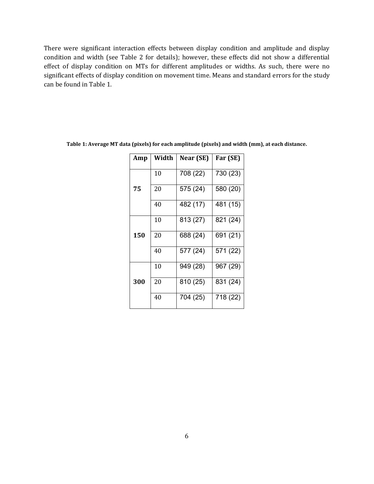There were significant interaction effects between display condition and amplitude and display condition and width (see Table 2 for details); however, these effects did not show a differential effect of display condition on MTs for different amplitudes or widths. As such, there were no significant effects of display condition on movement time. Means and standard errors for the study can be found in Table 1.

| Amp | Width | Near (SE) | Far (SE) |
|-----|-------|-----------|----------|
|     | 10    | 708 (22)  | 730 (23) |
| 75  | 20    | 575 (24)  | 580 (20) |
|     | 40    | 482 (17)  | 481 (15) |
|     | 10    | 813 (27)  | 821 (24) |
| 150 | 20    | 688 (24)  | 691 (21) |
|     | 40    | 577 (24)  | 571 (22) |
|     | 10    | 949 (28)  | 967 (29) |
| 300 | 20    | 810 (25)  | 831 (24) |
|     | 40    | 704 (25)  | 718 (22) |

**Table 1: Average MT data (pixels) for each amplitude (pixels) and width (mm), at each distance.**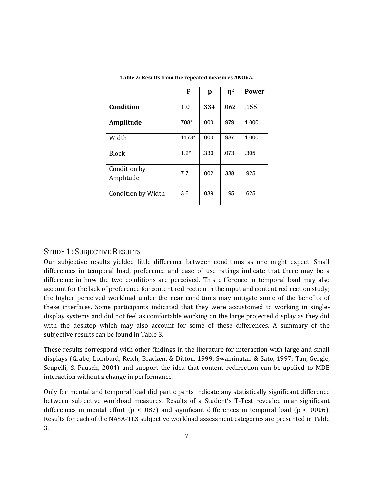|                           | F      | p    | $\eta^2$ | <b>Power</b> |
|---------------------------|--------|------|----------|--------------|
| Condition                 | 1.0    | .334 | .062     | .155         |
| Amplitude                 | 708*   | .000 | .979     | 1.000        |
| Width                     | 1178*  | .000 | .987     | 1.000        |
| <b>Block</b>              | $1.2*$ | .330 | .073     | .305         |
| Condition by<br>Amplitude | 7.7    | .002 | .338     | .925         |
| Condition by Width        | 3.6    | .039 | .195     | .625         |

**Table 2: Results from the repeated measures ANOVA.**

#### STUDY 1: SUBJECTIVE RESULTS

Our subjective results yielded little difference between conditions as one might expect. Small differences in temporal load, preference and ease of use ratings indicate that there may be a difference in how the two conditions are perceived. This difference in temporal load may also account for the lack of preference for content redirection in the input and content redirection study; the higher perceived workload under the near conditions may mitigate some of the benefits of these interfaces. Some participants indicated that they were accustomed to working in singledisplay systems and did not feel as comfortable working on the large projected display as they did with the desktop which may also account for some of these differences. A summary of the subjective results can be found in Table 3.

These results correspond with other findings in the literature for interaction with large and small displays (Grabe, Lombard, Reich, Bracken, & Ditton, 1999; Swaminatan & Sato, 1997; Tan, Gergle, Scupelli, & Pausch, 2004) and support the idea that content redirection can be applied to MDE interaction without a change in performance.

Only for mental and temporal load did participants indicate any statistically significant difference between subjective workload measures. Results of a Student's T-Test revealed near significant differences in mental effort ( $p < .087$ ) and significant differences in temporal load ( $p < .0006$ ). Results for each of the NASA-TLX subjective workload assessment categories are presented in Table 3.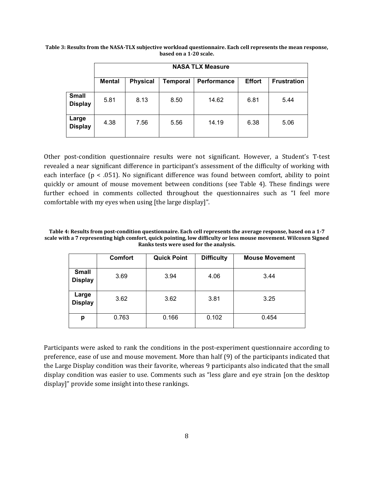|                                | <b>NASA TLX Measure</b> |                 |                 |             |               |                    |  |  |
|--------------------------------|-------------------------|-----------------|-----------------|-------------|---------------|--------------------|--|--|
|                                | <b>Mental</b>           | <b>Physical</b> | <b>Temporal</b> | Performance | <b>Effort</b> | <b>Frustration</b> |  |  |
| <b>Small</b><br><b>Display</b> | 5.81                    | 8.13            | 8.50            | 14.62       | 6.81          | 5.44               |  |  |
| Large<br><b>Display</b>        | 4.38                    | 7.56            | 5.56            | 14.19       | 6.38          | 5.06               |  |  |

**Table 3: Results from the NASA-TLX subjective workload questionnaire. Each cell represents the mean response, based on a 1-20 scale.**

Other post-condition questionnaire results were not significant. However, a Student's T-test revealed a near significant difference in participant's assessment of the difficulty of working with each interface ( $p < .051$ ). No significant difference was found between comfort, ability to point quickly or amount of mouse movement between conditions (see Table 4). These findings were further echoed in comments collected throughout the questionnaires such as "I feel more comfortable with my eyes when using [the large display]".

**Table 4: Results from post-condition questionnaire. Each cell represents the average response, based on a 1-7 scale with a 7 representing high comfort, quick pointing, low difficulty or less mouse movement. Wilcoxen Signed Ranks tests were used for the analysis.** 

|                                | <b>Comfort</b> | <b>Quick Point</b> | <b>Difficulty</b> | <b>Mouse Movement</b> |
|--------------------------------|----------------|--------------------|-------------------|-----------------------|
| <b>Small</b><br><b>Display</b> | 3.69           | 3.94               | 4.06              | 3.44                  |
| Large<br><b>Display</b>        | 3.62           | 3.62               | 3.81              | 3.25                  |
| p                              | 0.763          | 0.166              | 0.102             | 0.454                 |

Participants were asked to rank the conditions in the post-experiment questionnaire according to preference, ease of use and mouse movement. More than half (9) of the participants indicated that the Large Display condition was their favorite, whereas 9 participants also indicated that the small display condition was easier to use. Comments such as "less glare and eye strain [on the desktop display]" provide some insight into these rankings.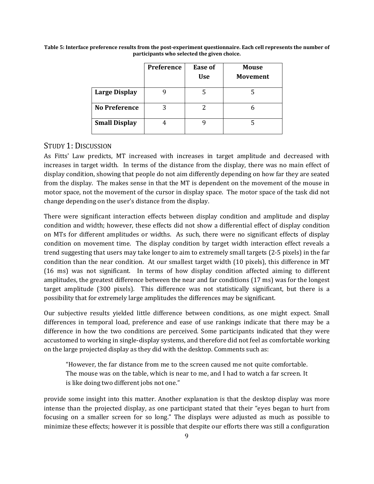|                      | Preference | <b>Ease of</b><br><b>Use</b> | <b>Mouse</b><br><b>Movement</b> |
|----------------------|------------|------------------------------|---------------------------------|
| <b>Large Display</b> |            |                              |                                 |
| <b>No Preference</b> |            |                              |                                 |
| <b>Small Display</b> |            |                              |                                 |

**Table 5: Interface preference results from the post-experiment questionnaire. Each cell represents the number of participants who selected the given choice.** 

#### STUDY 1: DISCUSSION

As Fitts' Law predicts, MT increased with increases in target amplitude and decreased with increases in target width. In terms of the distance from the display, there was no main effect of display condition, showing that people do not aim differently depending on how far they are seated from the display. The makes sense in that the MT is dependent on the movement of the mouse in motor space, not the movement of the cursor in display space. The motor space of the task did not change depending on the user's distance from the display.

There were significant interaction effects between display condition and amplitude and display condition and width; however, these effects did not show a differential effect of display condition on MTs for different amplitudes or widths. As such, there were no significant effects of display condition on movement time. The display condition by target width interaction effect reveals a trend suggesting that users may take longer to aim to extremely small targets (2-5 pixels) in the far condition than the near condition. At our smallest target width (10 pixels), this difference in MT (16 ms) was not significant. In terms of how display condition affected aiming to different amplitudes, the greatest difference between the near and far conditions (17 ms) was for the longest target amplitude (300 pixels). This difference was not statistically significant, but there is a possibility that for extremely large amplitudes the differences may be significant.

Our subjective results yielded little difference between conditions, as one might expect. Small differences in temporal load, preference and ease of use rankings indicate that there may be a difference in how the two conditions are perceived. Some participants indicated that they were accustomed to working in single-display systems, and therefore did not feel as comfortable working on the large projected display as they did with the desktop. Comments such as:

"However, the far distance from me to the screen caused me not quite comfortable. The mouse was on the table, which is near to me, and I had to watch a far screen. It is like doing two different jobs not one."

provide some insight into this matter. Another explanation is that the desktop display was more intense than the projected display, as one participant stated that their "eyes began to hurt from focusing on a smaller screen for so long." The displays were adjusted as much as possible to minimize these effects; however it is possible that despite our efforts there was still a configuration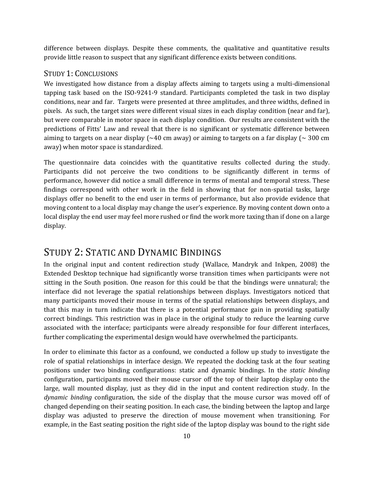difference between displays. Despite these comments, the qualitative and quantitative results provide little reason to suspect that any significant difference exists between conditions.

#### STUDY 1: CONCLUSIONS

We investigated how distance from a display affects aiming to targets using a multi-dimensional tapping task based on the ISO-9241-9 standard. Participants completed the task in two display conditions, near and far. Targets were presented at three amplitudes, and three widths, defined in pixels. As such, the target sizes were different visual sizes in each display condition (near and far), but were comparable in motor space in each display condition. Our results are consistent with the predictions of Fitts' Law and reveal that there is no significant or systematic difference between aiming to targets on a near display ( $\sim$ 40 cm away) or aiming to targets on a far display ( $\sim$  300 cm away) when motor space is standardized.

The questionnaire data coincides with the quantitative results collected during the study. Participants did not perceive the two conditions to be significantly different in terms of performance, however did notice a small difference in terms of mental and temporal stress. These findings correspond with other work in the field in showing that for non-spatial tasks, large displays offer no benefit to the end user in terms of performance, but also provide evidence that moving content to a local display may change the user's experience. By moving content down onto a local display the end user may feel more rushed or find the work more taxing than if done on a large display.

## <span id="page-10-0"></span>STUDY 2: STATIC AND DYNAMIC BINDINGS

In the original input and content redirection study (Wallace, Mandryk and Inkpen, 2008) the Extended Desktop technique had significantly worse transition times when participants were not sitting in the South position. One reason for this could be that the bindings were unnatural; the interface did not leverage the spatial relationships between displays. Investigators noticed that many participants moved their mouse in terms of the spatial relationships between displays, and that this may in turn indicate that there is a potential performance gain in providing spatially correct bindings. This restriction was in place in the original study to reduce the learning curve associated with the interface; participants were already responsible for four different interfaces, further complicating the experimental design would have overwhelmed the participants.

In order to eliminate this factor as a confound, we conducted a follow up study to investigate the role of spatial relationships in interface design. We repeated the docking task at the four seating positions under two binding configurations: static and dynamic bindings. In the *static binding*  configuration, participants moved their mouse cursor off the top of their laptop display onto the large, wall mounted display, just as they did in the input and content redirection study. In the *dynamic binding* configuration, the side of the display that the mouse cursor was moved off of changed depending on their seating position. In each case, the binding between the laptop and large display was adjusted to preserve the direction of mouse movement when transitioning. For example, in the East seating position the right side of the laptop display was bound to the right side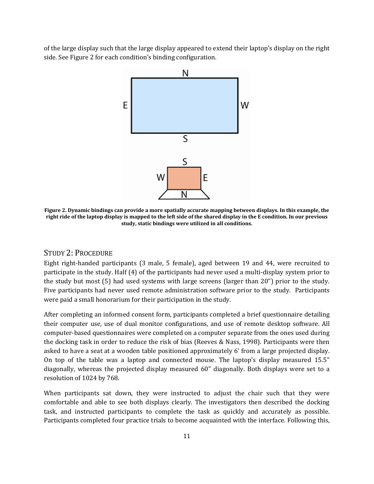of the large display such that the large display appeared to extend their laptop's display on the right side. Se[e Figure 2](#page-10-0) for each condition's binding configuration.



**Figure 2. Dynamic bindings can provide a more spatially accurate mapping between displays. In this example, the right ride of the laptop display is mapped to the left side of the shared display in the E condition. In our previous study, static bindings were utilized in all conditions.**

#### STUDY 2: PROCEDURE

Eight right-handed participants (3 male, 5 female), aged between 19 and 44, were recruited to participate in the study. Half (4) of the participants had never used a multi-display system prior to the study but most (5) had used systems with large screens (larger than 20") prior to the study. Five participants had never used remote administration software prior to the study. Participants were paid a small honorarium for their participation in the study.

After completing an informed consent form, participants completed a brief questionnaire detailing their computer use, use of dual monitor configurations, and use of remote desktop software. All computer-based questionnaires were completed on a computer separate from the ones used during the docking task in order to reduce the risk of bias (Reeves & Nass, 1998). Participants were then asked to have a seat at a wooden table positioned approximately 6' from a large projected display. On top of the table was a laptop and connected mouse. The laptop's display measured 15.5" diagonally, whereas the projected display measured 60" diagonally. Both displays were set to a resolution of 1024 by 768.

When participants sat down, they were instructed to adjust the chair such that they were comfortable and able to see both displays clearly. The investigators then described the docking task, and instructed participants to complete the task as quickly and accurately as possible. Participants completed four practice trials to become acquainted with the interface. Following this,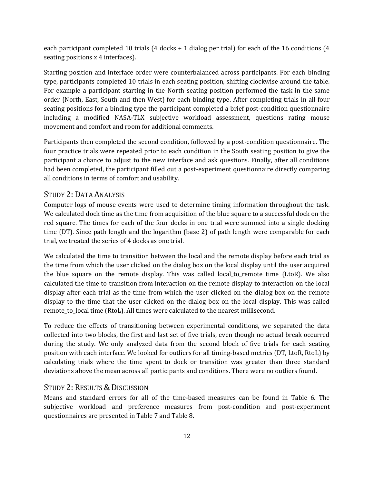<span id="page-12-0"></span>each participant completed 10 trials (4 docks + 1 dialog per trial) for each of the 16 conditions (4 seating positions x 4 interfaces).

Starting position and interface order were counterbalanced across participants. For each binding type, participants completed 10 trials in each seating position, shifting clockwise around the table. For example a participant starting in the North seating position performed the task in the same order (North, East, South and then West) for each binding type. After completing trials in all four seating positions for a binding type the participant completed a brief post-condition questionnaire including a modified NASA-TLX subjective workload assessment, questions rating mouse movement and comfort and room for additional comments.

Participants then completed the second condition, followed by a post-condition questionnaire. The four practice trials were repeated prior to each condition in the South seating position to give the participant a chance to adjust to the new interface and ask questions. Finally, after all conditions had been completed, the participant filled out a post-experiment questionnaire directly comparing all conditions in terms of comfort and usability.

#### STUDY 2: DATA ANALYSIS

Computer logs of mouse events were used to determine timing information throughout the task. We calculated dock time as the time from acquisition of the blue square to a successful dock on the red square. The times for each of the four docks in one trial were summed into a single docking time (DT). Since path length and the logarithm (base 2) of path length were comparable for each trial, we treated the series of 4 docks as one trial.

We calculated the time to transition between the local and the remote display before each trial as the time from which the user clicked on the dialog box on the local display until the user acquired the blue square on the remote display. This was called local\_to\_remote time (LtoR). We also calculated the time to transition from interaction on the remote display to interaction on the local display after each trial as the time from which the user clicked on the dialog box on the remote display to the time that the user clicked on the dialog box on the local display. This was called remote\_to\_local time (RtoL). All times were calculated to the nearest millisecond.

To reduce the effects of transitioning between experimental conditions, we separated the data collected into two blocks, the first and last set of five trials, even though no actual break occurred during the study. We only analyzed data from the second block of five trials for each seating position with each interface. We looked for outliers for all timing-based metrics (DT, LtoR, RtoL) by calculating trials where the time spent to dock or transition was greater than three standard deviations above the mean across all participants and conditions. There were no outliers found.

#### STUDY 2: RESULTS & DISCUSSION

Means and standard errors for all of the time-based measures can be found in [Table 6.](#page-12-0) The subjective workload and preference measures from post-condition and post-experiment questionnaires are presented in [Table 7](#page-13-0) and [Table 8.](#page-13-1)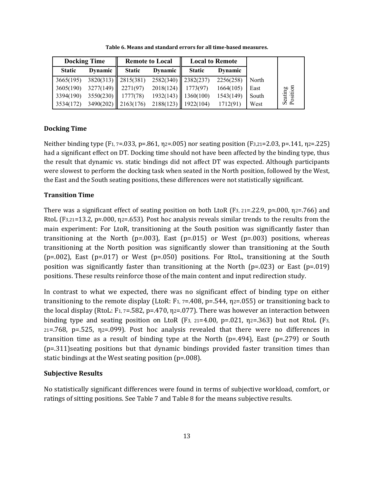<span id="page-13-0"></span>

|                     |       | <b>Local to Remote</b> |               |                       | <b>Remote to Local</b> | <b>Docking Time</b>   |               |  |  |
|---------------------|-------|------------------------|---------------|-----------------------|------------------------|-----------------------|---------------|--|--|
|                     |       | Dynamic                | <b>Static</b> | Dynamic $\parallel$   | <b>Static</b>          | Dynamic               | <b>Static</b> |  |  |
|                     | North | 2256(258)              |               | $2582(340)$ 2382(237) |                        | $3820(313)$ 2815(381) | 3665(195)     |  |  |
|                     | East  | 1664(105)              | 1773(97)      | 2018(124)             |                        | $3277(149)$ 2271(97)  | 3605(190)     |  |  |
| Seating<br>Position | South | 1543(149)              | 1360(100)     | 1932(143)             |                        | $3550(230)$ 1777(78)  | 3394(190)     |  |  |
|                     | West  | 1712(91)               | 1922(104)     | 2188(123)             |                        | $3490(202)$ 2163(176) | 3534(172)     |  |  |

**Table 6. Means and standard errors for all time-based measures.**

#### <span id="page-13-1"></span>**Docking Time**

Neither binding type (F1, 7=.033, p=.861, η2=.005) nor seating position (F3,21=2.03, p=.141, η2=.225) had a significant effect on DT. Docking time should not have been affected by the binding type, thus the result that dynamic vs. static bindings did not affect DT was expected. Although participants were slowest to perform the docking task when seated in the North position, followed by the West, the East and the South seating positions, these differences were not statistically significant.

#### **Transition Time**

There was a significant effect of seating position on both LtoR (F<sub>3</sub>, 21=.22.9, p≈.000,  $\eta$ 2=.766) and RtoL (F3,21=13.2, p≈.000,  $\eta$ 2=.653). Post hoc analysis reveals similar trends to the results from the main experiment: For LtoR, transitioning at the South position was significantly faster than transitioning at the North (p=.003), East (p=.015) or West (p=.003) positions, whereas transitioning at the North position was significantly slower than transitioning at the South  $(p=.002)$ , East  $(p=.017)$  or West  $(p=.050)$  positions. For RtoL, transitioning at the South position was significantly faster than transitioning at the North ( $p=.023$ ) or East ( $p=.019$ ) positions. These results reinforce those of the main content and input redirection study.

In contrast to what we expected, there was no significant effect of binding type on either transitioning to the remote display (LtoR: F<sub>1</sub>,  $7=408$ ,  $p=.544$ ,  $p2=.055$ ) or transitioning back to the local display (RtoL: F<sub>1, 7</sub>=.582, p=.470,  $\eta$ <sub>2</sub>=.077). There was however an interaction between binding type and seating position on LtoR (F<sub>3, 21</sub>=4.00, p=.021,  $\eta$ <sub>2</sub>=.363) but not RtoL (F<sub>3,</sub>  $21 = .768$ ,  $p = .525$ ,  $p = .099$ ). Post hoc analysis revealed that there were no differences in transition time as a result of binding type at the North ( $p=494$ ), East ( $p=279$ ) or South (p=.311)seating positions but that dynamic bindings provided faster transition times than static bindings at the West seating position (p=.008).

#### **Subjective Results**

No statistically significant differences were found in terms of subjective workload, comfort, or ratings of sitting positions. See [Table 7](#page-13-0) and [Table 8](#page-13-1) for the means subjective results.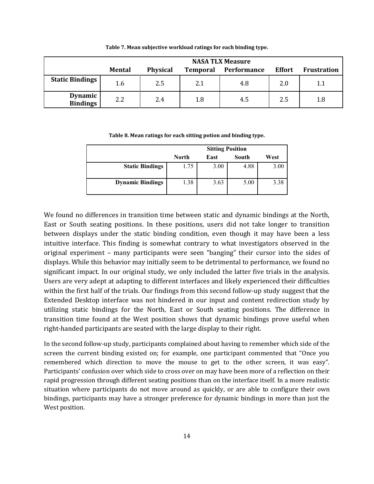|                                   | <b>NASA TLX Measure</b> |                 |                 |             |               |                    |  |  |
|-----------------------------------|-------------------------|-----------------|-----------------|-------------|---------------|--------------------|--|--|
|                                   | <b>Mental</b>           | <b>Physical</b> | <b>Temporal</b> | Performance | <b>Effort</b> | <b>Frustration</b> |  |  |
| <b>Static Bindings</b>            | 1.6                     | 2.5             | 2.1             | 4.8         | 2.0           | 1.1                |  |  |
| <b>Dynamic</b><br><b>Bindings</b> | 2.2                     | 2.4             | 1.8             | 4.5         | 2.5           | 1.8                |  |  |

**Table 7. Mean subjective workload ratings for each binding type.**

**Table 8. Mean ratings for each sitting potion and binding type.**

|                         | <b>Sitting Position</b>        |      |      |      |  |  |  |
|-------------------------|--------------------------------|------|------|------|--|--|--|
|                         | West<br>South<br>North<br>East |      |      |      |  |  |  |
| <b>Static Bindings</b>  | 1.75                           | 3.00 | 4.88 | 3.00 |  |  |  |
| <b>Dynamic Bindings</b> | .38                            | 3.63 | 5.00 | 3.38 |  |  |  |

We found no differences in transition time between static and dynamic bindings at the North, East or South seating positions. In these positions, users did not take longer to transition between displays under the static binding condition, even though it may have been a less intuitive interface. This finding is somewhat contrary to what investigators observed in the original experiment – many participants were seen "banging" their cursor into the sides of displays. While this behavior may initially seem to be detrimental to performance, we found no significant impact. In our original study, we only included the latter five trials in the analysis. Users are very adept at adapting to different interfaces and likely experienced their difficulties within the first half of the trials. Our findings from this second follow-up study suggest that the Extended Desktop interface was not hindered in our input and content redirection study by utilizing static bindings for the North, East or South seating positions. The difference in transition time found at the West position shows that dynamic bindings prove useful when right-handed participants are seated with the large display to their right.

In the second follow-up study, participants complained about having to remember which side of the screen the current binding existed on; for example, one participant commented that "Once you remembered which direction to move the mouse to get to the other screen, it was easy". Participants' confusion over which side to cross over on may have been more of a reflection on their rapid progression through different seating positions than on the interface itself. In a more realistic situation where participants do not move around as quickly, or are able to configure their own bindings, participants may have a stronger preference for dynamic bindings in more than just the West position.